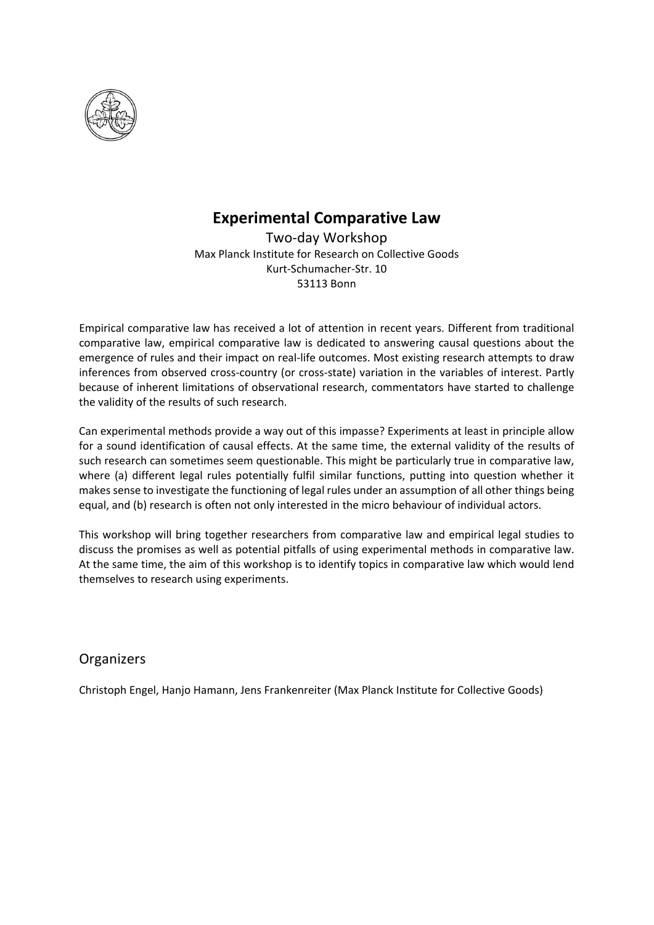

## **Experimental Comparative Law**

Two-day Workshop Max Planck Institute for Research on Collective Goods Kurt-Schumacher-Str. 10 53113 Bonn

Empirical comparative law has received a lot of attention in recent years. Different from traditional comparative law, empirical comparative law is dedicated to answering causal questions about the emergence of rules and their impact on real-life outcomes. Most existing research attempts to draw inferences from observed cross-country (or cross-state) variation in the variables of interest. Partly because of inherent limitations of observational research, commentators have started to challenge the validity of the results of such research.

Can experimental methods provide a way out of this impasse? Experiments at least in principle allow for a sound identification of causal effects. At the same time, the external validity of the results of such research can sometimes seem questionable. This might be particularly true in comparative law, where (a) different legal rules potentially fulfil similar functions, putting into question whether it makes sense to investigate the functioning of legal rules under an assumption of all other things being equal, and (b) research is often not only interested in the micro behaviour of individual actors.

This workshop will bring together researchers from comparative law and empirical legal studies to discuss the promises as well as potential pitfalls of using experimental methods in comparative law. At the same time, the aim of this workshop is to identify topics in comparative law which would lend themselves to research using experiments.

## **Organizers**

Christoph Engel, Hanjo Hamann, Jens Frankenreiter (Max Planck Institute for Collective Goods)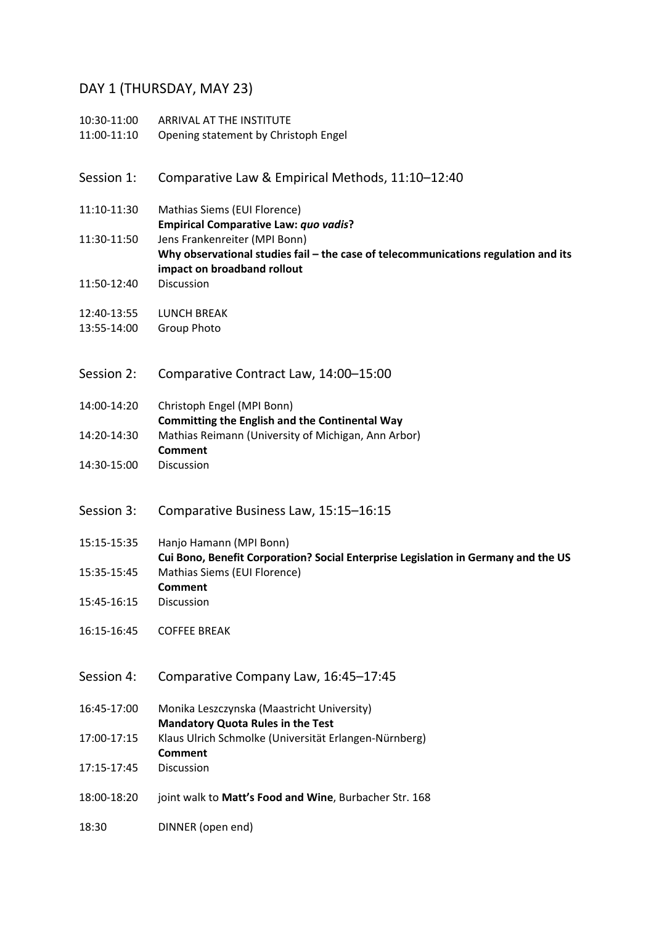## DAY 1 (THURSDAY, MAY 23)

| 10:30-11:00<br>11:00-11:10 | ARRIVAL AT THE INSTITUTE<br>Opening statement by Christoph Engel                                                                                   |
|----------------------------|----------------------------------------------------------------------------------------------------------------------------------------------------|
| Session 1:                 | Comparative Law & Empirical Methods, 11:10-12:40                                                                                                   |
| 11:10-11:30                | Mathias Siems (EUI Florence)<br><b>Empirical Comparative Law: quo vadis?</b>                                                                       |
| 11:30-11:50                | Jens Frankenreiter (MPI Bonn)<br>Why observational studies fail - the case of telecommunications regulation and its<br>impact on broadband rollout |
| 11:50-12:40                | Discussion                                                                                                                                         |
| 12:40-13:55<br>13:55-14:00 | <b>LUNCH BREAK</b><br>Group Photo                                                                                                                  |
| Session 2:                 | Comparative Contract Law, 14:00-15:00                                                                                                              |
| 14:00-14:20                | Christoph Engel (MPI Bonn)<br><b>Committing the English and the Continental Way</b>                                                                |
| 14:20-14:30                | Mathias Reimann (University of Michigan, Ann Arbor)<br><b>Comment</b>                                                                              |
| 14:30-15:00                | Discussion                                                                                                                                         |
|                            |                                                                                                                                                    |
| Session 3:                 | Comparative Business Law, 15:15-16:15                                                                                                              |
| 15:15-15:35                | Hanjo Hamann (MPI Bonn)                                                                                                                            |
| 15:35-15:45                | Cui Bono, Benefit Corporation? Social Enterprise Legislation in Germany and the US<br>Mathias Siems (EUI Florence)<br><b>Comment</b>               |
| 15:45-16:15                | Discussion                                                                                                                                         |
| 16:15-16:45                | <b>COFFEE BREAK</b>                                                                                                                                |
| Session 4:                 | Comparative Company Law, 16:45-17:45                                                                                                               |
| 16:45-17:00                | Monika Leszczynska (Maastricht University)                                                                                                         |
| 17:00-17:15                | <b>Mandatory Quota Rules in the Test</b><br>Klaus Ulrich Schmolke (Universität Erlangen-Nürnberg)<br><b>Comment</b>                                |
| 17:15-17:45                | Discussion                                                                                                                                         |
| 18:00-18:20                | joint walk to Matt's Food and Wine, Burbacher Str. 168                                                                                             |